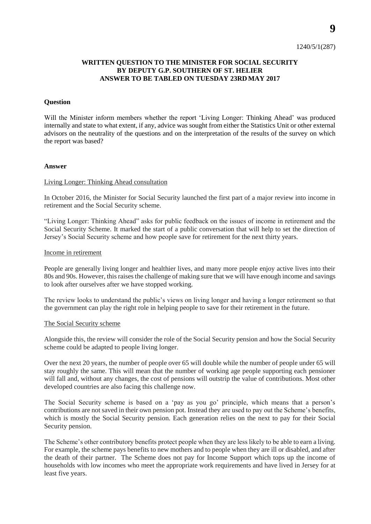1240/5/1(287)

# **WRITTEN QUESTION TO THE MINISTER FOR SOCIAL SECURITY BY DEPUTY G.P. SOUTHERN OF ST. HELIER ANSWER TO BE TABLED ON TUESDAY 23RDMAY 2017**

## **Question**

Will the Minister inform members whether the report 'Living Longer: Thinking Ahead' was produced internally and state to what extent, if any, advice was sought from either the Statistics Unit or other external advisors on the neutrality of the questions and on the interpretation of the results of the survey on which the report was based?

#### **Answer**

## Living Longer: Thinking Ahead consultation

In October 2016, the Minister for Social Security launched the first part of a major review into income in retirement and the Social Security scheme.

"Living Longer: Thinking Ahead" asks for public feedback on the issues of income in retirement and the Social Security Scheme. It marked the start of a public conversation that will help to set the direction of Jersey's Social Security scheme and how people save for retirement for the next thirty years.

## Income in retirement

People are generally living longer and healthier lives, and many more people enjoy active lives into their 80s and 90s. However, this raises the challenge of making sure that we will have enough income and savings to look after ourselves after we have stopped working.

The review looks to understand the public's views on living longer and having a longer retirement so that the government can play the right role in helping people to save for their retirement in the future.

#### The Social Security scheme

Alongside this, the review will consider the role of the Social Security pension and how the Social Security scheme could be adapted to people living longer.

Over the next 20 years, the number of people over 65 will double while the number of people under 65 will stay roughly the same. This will mean that the number of working age people supporting each pensioner will fall and, without any changes, the cost of pensions will outstrip the value of contributions. Most other developed countries are also facing this challenge now.

The Social Security scheme is based on a 'pay as you go' principle, which means that a person's contributions are not saved in their own pension pot. Instead they are used to pay out the Scheme's benefits, which is mostly the Social Security pension. Each generation relies on the next to pay for their Social Security pension.

The Scheme's other contributory benefits protect people when they are less likely to be able to earn a living. For example, the scheme pays benefits to new mothers and to people when they are ill or disabled, and after the death of their partner. The Scheme does not pay for Income Support which tops up the income of households with low incomes who meet the appropriate work requirements and have lived in Jersey for at least five years.